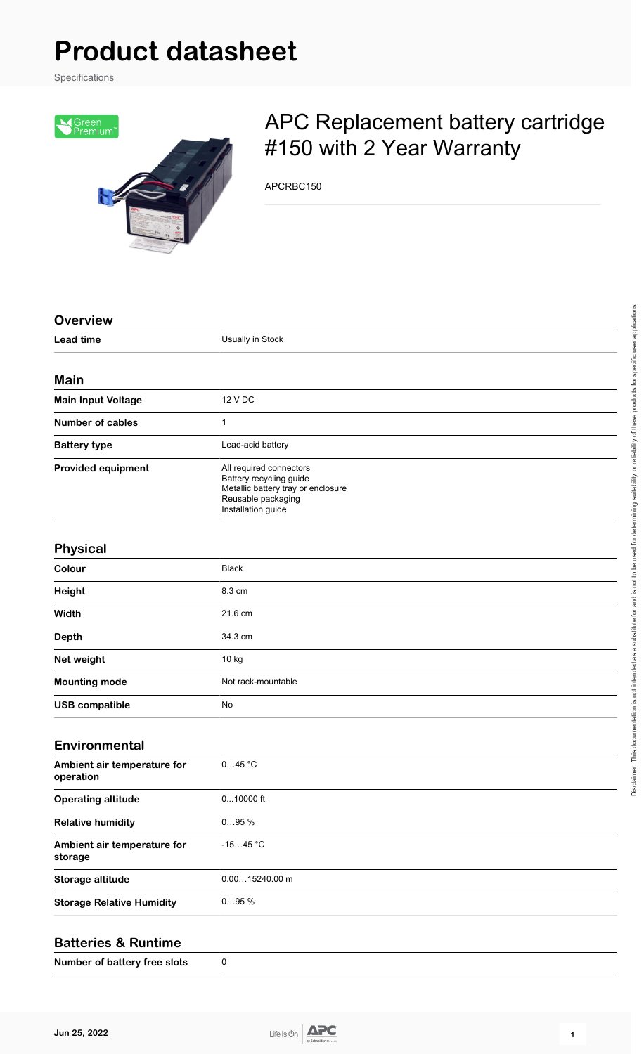# **Product datasheet**

Specifications



## APC Replacement battery cartridge #150 with 2 Year Warranty

APCRBC150

| <b>Overview</b>                          |                                                                                                                                      |
|------------------------------------------|--------------------------------------------------------------------------------------------------------------------------------------|
| <b>Lead time</b>                         | Usually in Stock                                                                                                                     |
| <b>Main</b>                              |                                                                                                                                      |
|                                          | 12 V DC                                                                                                                              |
| <b>Main Input Voltage</b>                |                                                                                                                                      |
| <b>Number of cables</b>                  | 1                                                                                                                                    |
| <b>Battery type</b>                      | Lead-acid battery                                                                                                                    |
| <b>Provided equipment</b>                | All required connectors<br>Battery recycling guide<br>Metallic battery tray or enclosure<br>Reusable packaging<br>Installation guide |
| <b>Physical</b>                          |                                                                                                                                      |
| Colour                                   | <b>Black</b>                                                                                                                         |
| Height                                   | 8.3 cm                                                                                                                               |
| Width                                    | 21.6 cm                                                                                                                              |
| <b>Depth</b>                             | 34.3 cm                                                                                                                              |
| Net weight                               | 10 kg                                                                                                                                |
| <b>Mounting mode</b>                     | Not rack-mountable                                                                                                                   |
| <b>USB compatible</b>                    | No                                                                                                                                   |
| <b>Environmental</b>                     |                                                                                                                                      |
| Ambient air temperature for<br>operation | 045 °C                                                                                                                               |
| <b>Operating altitude</b>                | $010000$ ft                                                                                                                          |
| <b>Relative humidity</b>                 | 095%                                                                                                                                 |
| Ambient air temperature for<br>storage   | $-1545$ °C                                                                                                                           |
| Storage altitude                         | $0.0015240.00$ m                                                                                                                     |
| <b>Storage Relative Humidity</b>         | 095%                                                                                                                                 |
|                                          |                                                                                                                                      |

#### **Batteries & Runtime**